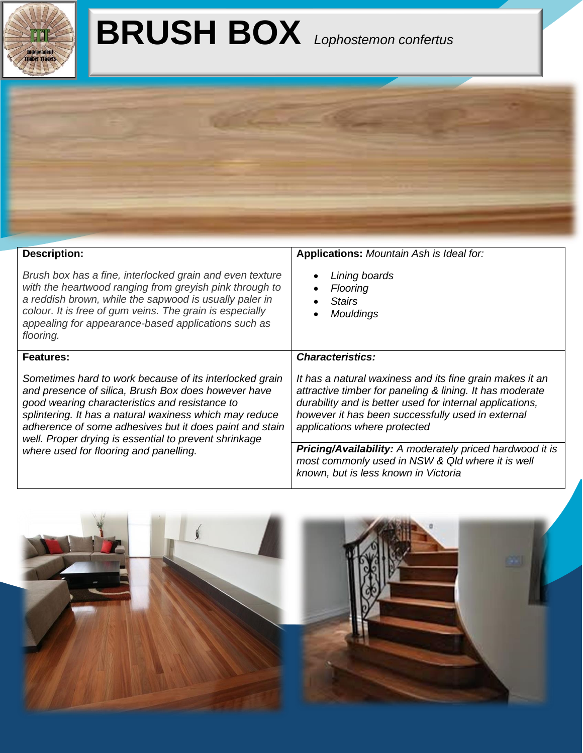

## **BRUSH BOX** *Lophostemon confertus*



| <b>Description:</b>                                                                                                                                                                                                                                                                                                                             | <b>Applications:</b> Mountain Ash is Ideal for:                                                                                                                                                                                                                       |  |  |  |
|-------------------------------------------------------------------------------------------------------------------------------------------------------------------------------------------------------------------------------------------------------------------------------------------------------------------------------------------------|-----------------------------------------------------------------------------------------------------------------------------------------------------------------------------------------------------------------------------------------------------------------------|--|--|--|
| Brush box has a fine, interlocked grain and even texture<br>with the heartwood ranging from greyish pink through to<br>a reddish brown, while the sapwood is usually paler in<br>colour. It is free of gum veins. The grain is especially<br>appealing for appearance-based applications such as<br>flooring.                                   | Lining boards<br>$\bullet$<br><b>Flooring</b><br>٠<br><b>Stairs</b><br>$\bullet$<br>Mouldings<br>$\bullet$                                                                                                                                                            |  |  |  |
| <b>Features:</b>                                                                                                                                                                                                                                                                                                                                | <b>Characteristics:</b>                                                                                                                                                                                                                                               |  |  |  |
| Sometimes hard to work because of its interlocked grain<br>and presence of silica, Brush Box does however have<br>good wearing characteristics and resistance to<br>splintering. It has a natural waxiness which may reduce<br>adherence of some adhesives but it does paint and stain<br>well. Proper drying is essential to prevent shrinkage | It has a natural waxiness and its fine grain makes it an<br>attractive timber for paneling & lining. It has moderate<br>durability and is better used for internal applications,<br>however it has been successfully used in external<br>applications where protected |  |  |  |
| where used for flooring and panelling.                                                                                                                                                                                                                                                                                                          | <b>Pricing/Availability:</b> A moderately priced hardwood it is<br>most commonly used in NSW & Qld where it is well<br>known, but is less known in Victoria                                                                                                           |  |  |  |